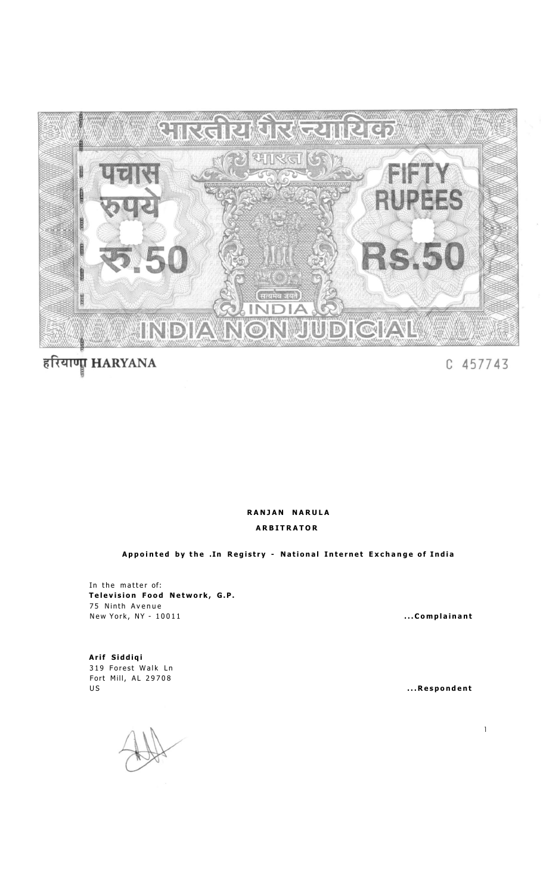

## हरियाणा HARYANA

C 457743

## **RANJA N NARUL A ARBITRATO R**

**Appointe d b y th e .In Registr y - Nationa l Interne t Exchang e o f Indi a** 

In the matter of: **Television Food Network, G.P.** 75 Ninth Avenue New York, NY - 10011 **1 10011 1001 1001 1001 1001 1001 1001 1001 1001 1001 1001 1001 1001 1001 1001 1001 1001 1001 1001 1001 1001 1001 1001 1001 1001 1001 1001 1001**

**Arif Siddiq i**  319 Forest Walk Ln Fort Mill, AL 29708 US **US**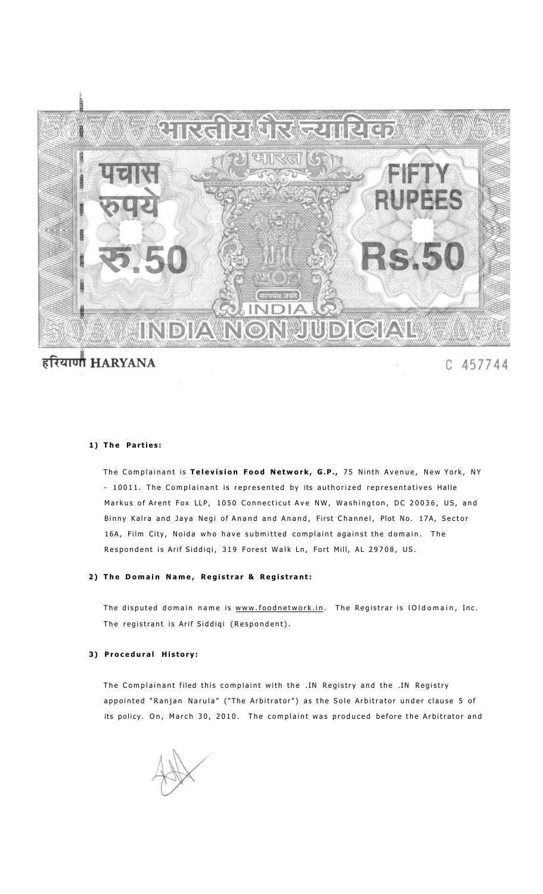

# हरियाणी HARYANA

C 457744

#### 1) The Parties:

The Complainant is Television Food Network, G.P., 75 Ninth Avenue, New York, NY - 10011. The Complainant is represented by its authorized representatives Halle Markus of Arent Fox LLP, 1050 Connecticut Ave NW, Washington, DC 20036, US, and Binny Kalra and Jaya Negi of Anand and Anand, First Channel, Plot No. 17A, Sector 16A, Film City, Noida who have submitted complaint against the domain. The Respondent is Arif Siddiqi, 319 Forest Walk Ln, Fort Mill, AL 29708, US.

#### 2) The Domain Name, Registrar & Registrant:

The disputed domain name is [www.foodnetwork.in](http://www.foodnetwork.in). The Registrar is IOIdomain, Inc. The registrant is Arif Siddiqi (Respondent).

#### **3 ) Procedura l History :**

The Complainant filed this complaint with the .IN Registry and the .IN Registry appointed "Ranjan Narula" ("The Arbitrator") as the Sole Arbitrator under clause 5 of its policy. On, March 30, 2010. The complaint was produced before the Arbitrator and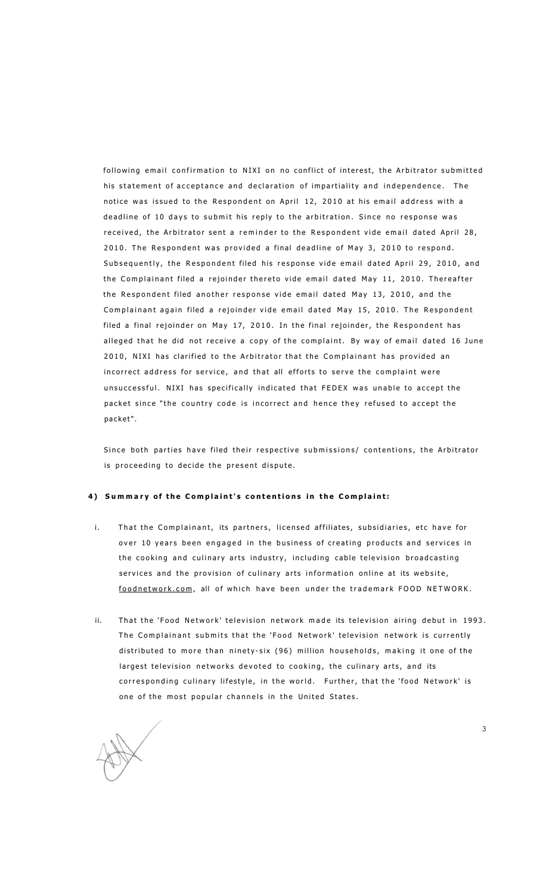following email confirmation to NIXI on no conflict of interest, the Arbitrator submitted his statement of acceptance and declaration of impartiality and independence. The notice was issued to the Respondent on April 12, 2010 at his email address with a deadline of 10 days to submit his reply to the arbitration. Since no response was received, the Arbitrator sent a reminder to the Respondent vide email dated April 28, 2010. The Respondent was provided a final deadline of May 3, 2010 to respond. Subsequently, the Respondent filed his response vide email dated April 29, 2010, and the Complainant filed a rejoinder thereto vide email dated May 11, 2010. Thereafter the Respondent filed another response vide email dated May 13, 2010, and the Complainant again filed a rejoinder vide email dated May 15, 2010. The Respondent filed a final rejoinder on May 17, 2010. In the final rejoinder, the Respondent has alleged that he did not receive a copy of the complaint. By way of email dated 16 June 2010, NIXI has clarified to the Arbitrator that the Complainant has provided an incorrect address for service, and that all efforts to serve the complaint were unsuccessful. NIXI has specifically indicated that FEDEX was unable to accept the packet since "the country code is incorrect and hence they refused to accept the packet" .

Since both parties have filed their respective submissions/ contentions, the Arbitrator is proceeding to decide the present dispute.

#### **4 ) Summar y o f th e Complaint' s contention s i n th e Complaint :**

- i. That the Complainant, its partners, licensed affiliates, subsidiaries, etc have for over 10 years been engaged in the business of creating products and services in the cooking and culinary arts industry, including cable television broadcasting services and the provision of culinary arts information online at its website, [foodnetwork.com](http://foodnetwork.com), all of which have been under the trademark FOOD NETWORK.
- ii. That the 'Food Network' television network made its television airing debut in 1993. The Complainant submits that the 'Food Network' television network is currently distributed to more than ninety-six (96) million households, making it one of the largest television networks devoted to cooking, the culinary arts, and its corresponding culinary lifestyle, in the world. Further, that the 'food Network' is one of the most popular channels in the United States.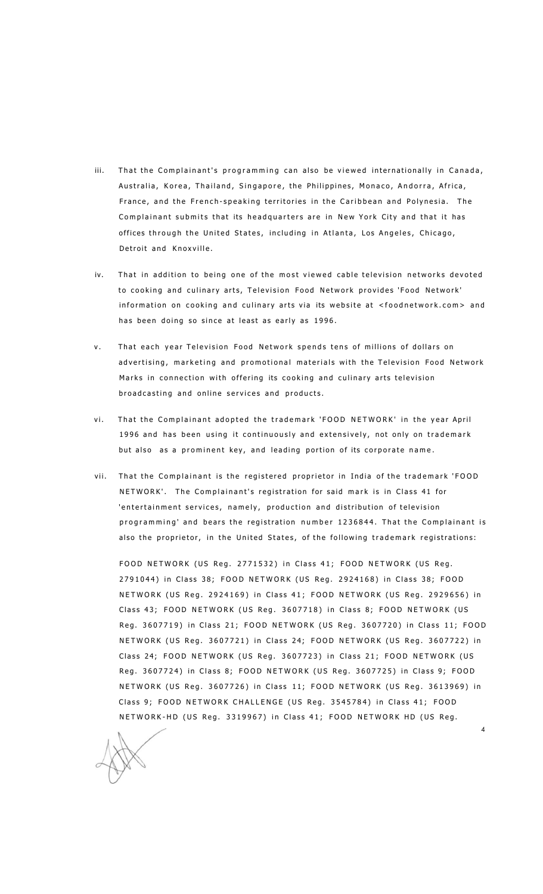- iii. That the Complainant's programming can also be viewed internationally in Canada, Australia, Korea, Thailand, Singapore, the Philippines, Monaco, Andorra, Africa, France, and the French-speaking territories in the Caribbean and Polynesia. The Complainant submits that its headquarters are in New York City and that it has offices through the United States, including in Atlanta, Los Angeles, Chicago, Detroit and Knoxville.
- iv. That in addition to being one of the most viewed cable television networks devoted to cooking and culinary arts, Television Food Network provides 'Food Network' information on cooking and culinary arts via its website at <foodnetwork.com> and has been doing so since at least as early as 1996.
- v. That each year Television Food Network spends tens of millions of dollars on advertising, marketing and promotional materials with the Television Food Network Marks in connection with offering its cooking and culinary arts television broadcasting and online services and products.
- vi. That the Complainant adopted the trademark 'FOOD NETWORK' in the year April 1996 and has been using it continuously and extensively, not only on trademark but also as a prominent key, and leading portion of its corporate name.
- vii. That the Complainant is the registered proprietor in India of the trademark 'FOOD NETWORK'. The Complainant's registration for said mark is in Class 41 for 'entertainment services, namely, production and distribution of television programming' and bears the registration number 1236844. That the Complainant is also the proprietor, in the United States, of the following trademark registrations:

FOOD NETWORK (US Reg. 2771532) in Class 41; FOOD NETWORK (US Reg. 2791044) in Class 38; FOOD NETWORK (US Reg. 2924168) in Class 38; FOOD NETWORK (US Reg. 2924169) in Class 41; FOOD NETWORK (US Reg. 2929656) in Class 43; FOOD NETWORK (US Reg. 3607718) in Class 8; FOOD NETWORK (US Reg. 3607719) in Class 21; FOOD NETWORK (US Reg. 3607720) in Class 11; FOOD NETWORK (US Reg. 3607721) in Class 24; FOOD NETWORK (US Reg. 3607722) in Class 24; FOOD NETWORK (US Reg. 3607723) in Class 21; FOOD NETWORK (US Reg. 3607724) in Class 8; FOOD NETWORK (US Reg. 3607725) in Class 9; FOOD NETWORK (US Reg. 3607726) in Class 11; FOOD NETWORK (US Reg. 3613969) in Class 9; FOOD NETWORK CHALLENGE (US Reg. 3545784) in Class 41; FOOD NETWORK-HD (US Reg. 3319967) in Class 41; FOOD NETWORK HD (US Reg.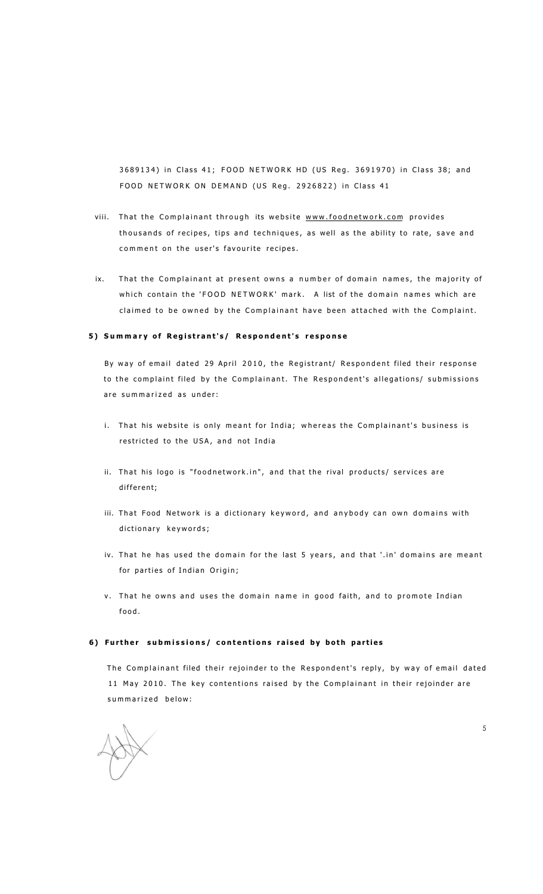3689134) in Class 41; FOOD NETWORK HD (US Reg. 3691970) in Class 38; and FOOD NETWORK ON DEMAND (US Reg. 2926822) in Class 41

- viii. That the Complainant through its website [www.foodnetwork.co](http://www.foodnetwork.com)m provides thousands of recipes, tips and techniques, as well as the ability to rate, save and comment on the user's favourite recipes.
- ix. That the Complainant at present owns a number of domain names, the majority of which contain the 'FOOD NETWORK' mark. A list of the domain names which are claimed to be owned by the Complainant have been attached with the Complaint.

#### **5 ) Summar y o f Registrant's / Respondent' s respons e**

By way of email dated 29 April 2010, the Registrant/ Respondent filed their response to the complaint filed by the Complainant. The Respondent's allegations/ submissions are summarized as under:

- i. That his website is only meant for India; whereas the Complainant's business is restricted to the USA, and not India
- ii. That his logo is "foodnetwork.in", and that the rival products/ services are different;
- iii. That Food Network is a dictionary keyword, and anybody can own domains with dictionary keywords;
- iv. That he has used the domain for the last 5 years, and that '.in' domains are meant for parties of Indian Origin;
- v. That he owns and uses the domain name in good faith, and to promote Indian food .

#### **6 ) Furthe r submissions / contention s raise d b y bot h partie s**

The Complainant filed their rejoinder to the Respondent's reply, by way of email dated 11 May 2010. The key contentions raised by the Complainant in their rejoinder are summarized below: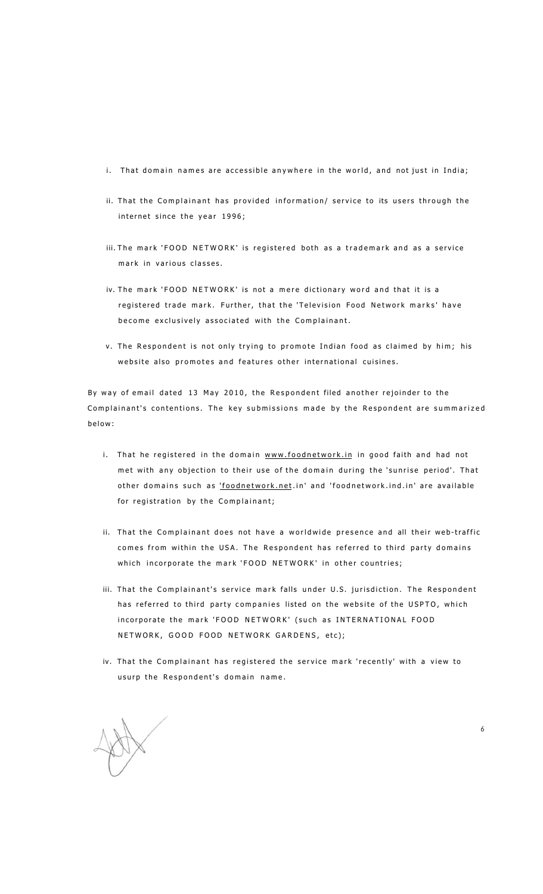- i. That domain names are accessible anywhere in the world, and not just in India;
- ii. That the Complainant has provided information/ service to its users through the internet since the year 1996;
- iii. The mark 'FOOD NETWORK' is registered both as a trademark and as a service mark in various classes.
- iv. The mark 'FOOD NETWORK' is not a mere dictionary word and that it is a registered trade mark. Further, that the 'Television Food Network marks' have become exclusively associated with the Complainant.
- v. The Respondent is not only trying to promote Indian food as claimed by him; his website also promotes and features other international cuisines.

By way of email dated 13 May 2010, the Respondent filed another rejoinder to the Complainant's contentions. The key submissions made by the Respondent are summarized below :

- i. That he registered in the domain [www.foodnetwork.i](http://www.foodnetwork.in)n in good faith and had not met with any objection to their use of the domain during the 'sunrise period'. That other domains such as ['foodnetwork.net.](http://)in' and 'foodnetwork.ind.in' are available for registration by the Complainant;
- ii. That the Complainant does not have a worldwide presence and all their web-traffic comes from within the USA. The Respondent has referred to third party domains which incorporate the mark 'FOOD NETWORK' in other countries;
- iii. That the Complainant's service mark falls under U.S. jurisdiction. The Respondent has referred to third party companies listed on the website of the USPTO, which incorporate the mark 'FOOD NETWORK' (such as INTERNATIONAL FOOD NETWORK, GOOD FOOD NETWORK GARDENS, etc);
- iv. That the Complainant has registered the service mark 'recently' with a view to usurp the Respondent's domain name.

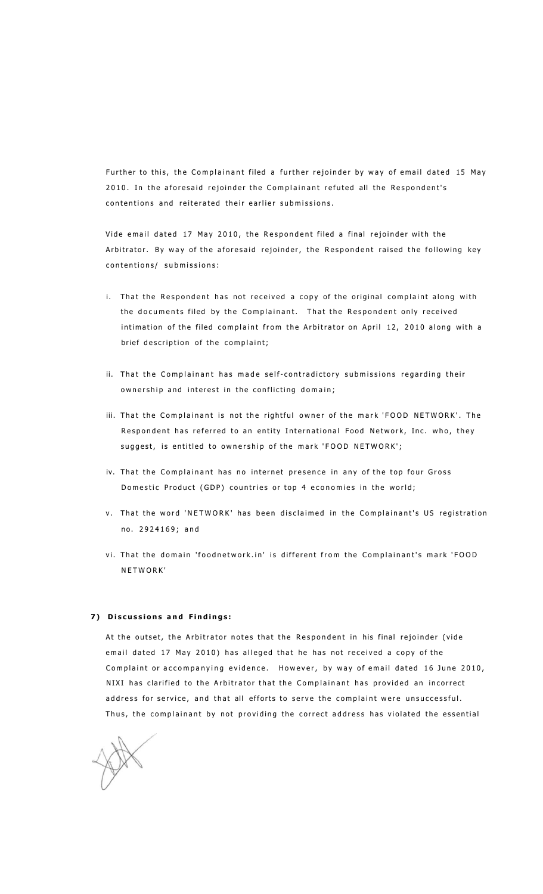Further to this, the Complainant filed a further rejoinder by way of email dated 15 May 2010. In the aforesaid rejoinder the Complainant refuted all the Respondent's contentions and reiterated their earlier submissions.

Vide email dated 17 May 2010, the Respondent filed a final rejoinder with the Arbitrator. By way of the aforesaid rejoinder, the Respondent raised the following key contentions/ submissions:

- i. That the Respondent has not received a copy of the original complaint along with the documents filed by the Complainant. That the Respondent only received intimation of the filed complaint from the Arbitrator on April 12, 2010 along with a brief description of the complaint;
- ii. That the Complainant has made self-contradictory submissions regarding their ownership and interest in the conflicting domain;
- iii. That the Complainant is not the rightful owner of the mark 'FOOD NETWORK'. The Respondent has referred to an entity International Food Network, Inc. who, they suggest, is entitled to ownership of the mark 'FOOD NETWORK';
- iv. That the Complainant has no internet presence in any of the top four Gross Domestic Product (GDP) countries or top 4 economies in the world;
- v. That the word 'NETWORK' has been disclaimed in the Complainant's US registration no. 2924169; and
- vi. That the domain 'foodnetwork.in' is different from the Complainant's mark 'FOOD NETWORK '

#### **7 ) Discussion s an d Findings :**

At the outset, the Arbitrator notes that the Respondent in his final rejoinder (vide email dated 17 May 2010) has alleged that he has not received a copy of the Complaint or accompanying evidence. However, by way of email dated 16 June 2010, NIXI has clarified to the Arbitrator that the Complainant has provided an incorrect address for service, and that all efforts to serve the complaint were unsuccessful. Thus, the complainant by not providing the correct address has violated the essential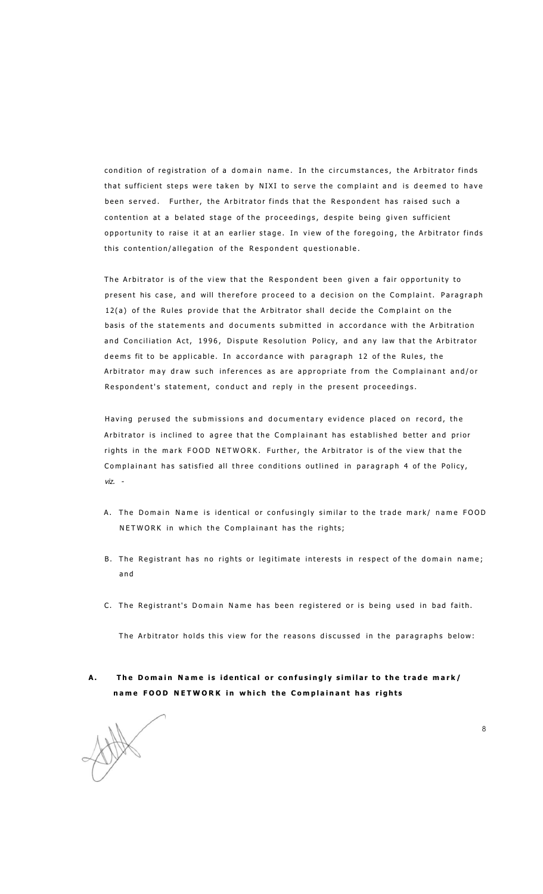condition of registration of a domain name. In the circumstances, the Arbitrator finds that sufficient steps were taken by NIXI to serve the complaint and is deemed to have been served. Further, the Arbitrator finds that the Respondent has raised such a contention at a belated stage of the proceedings, despite being given sufficient opportunity to raise it at an earlier stage. In view of the foregoing, the Arbitrator finds this contention/allegation of the Respondent questionable.

The Arbitrator is of the view that the Respondent been given a fair opportunity to present his case, and will therefore proceed to a decision on the Complaint. Paragraph 12(a) of the Rules provide that the Arbitrator shall decide the Complaint on the basis of the statements and documents submitted in accordance with the Arbitration and Conciliation Act, 1996, Dispute Resolution Policy, and any law that the Arbitrator deems fit to be applicable. In accordance with paragraph 12 of the Rules, the Arbitrator may draw such inferences as are appropriate from the Complainant and/or Respondent's statement, conduct and reply in the present proceedings.

Having perused the submissions and documentary evidence placed on record, the Arbitrator is inclined to agree that the Complainant has established better and prior rights in the mark FOOD NETWORK. Further, the Arbitrator is of the view that the Complainant has satisfied all three conditions outlined in paragraph 4 of the Policy, *viz. -*

- A. The Domain Name is identical or confusingly similar to the trade mark/ name FOOD NETWORK in which the Complainant has the rights;
- B. The Registrant has no rights or legitimate interests in respect of the domain name; a n d
- C. The Registrant's Domain Name has been registered or is being used in bad faith.

The Arbitrator holds this view for the reasons discussed in the paragraphs below:

**A . Th e Domai n Nam e i s identica l o r confusingl y simila r t o th e trad e mark / nam e FOO D NETWOR K i n whic h th e Complainan t ha s right s** 

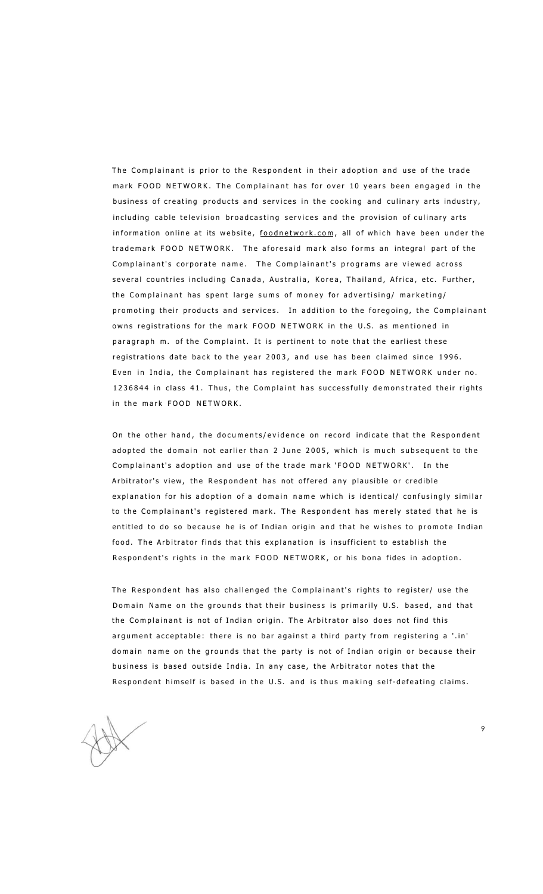The Complainant is prior to the Respondent in their adoption and use of the trade mark FOOD NETWORK. The Complainant has for over 10 years been engaged in the business of creating products and services in the cooking and culinary arts industry, including cable television broadcasting services and the provision of culinary arts information online at its website, [foodnetwork.com](http://foodnetwork.com), all of which have been under the trademark FOOD NETWORK. The aforesaid mark also forms an integral part of the Complainant's corporate name. The Complainant's programs are viewed across several countries including Canada, Australia, Korea, Thailand, Africa, etc. Further, the Complainant has spent large sums of money for advertising/ marketing/ promoting their products and services. In addition to the foregoing, the Complainant owns registrations for the mark FOOD NETWORK in the U.S. as mentioned in paragraph m. of the Complaint. It is pertinent to note that the earliest these registrations date back to the year 2003, and use has been claimed since 1996. Even in India, the Complainant has registered the mark FOOD NETWORK under no. 1236844 in class 41. Thus, the Complaint has successfully demonstrated their rights in the mark FOOD NFTWORK.

On the other hand, the documents/evidence on record indicate that the Respondent adopted the domain not earlier than 2 June 2005, which is much subsequent to the Complainant's adoption and use of the trade mark 'FOOD NETWORK'. In the Arbitrator's view, the Respondent has not offered any plausible or credible explanation for his adoption of a domain name which is identical/ confusingly similar to the Complainant's registered mark. The Respondent has merely stated that he is entitled to do so because he is of Indian origin and that he wishes to promote Indian food. The Arbitrator finds that this explanation is insufficient to establish the Respondent's rights in the mark FOOD NETWORK, or his bona fides in adoption.

The Respondent has also challenged the Complainant's rights to register/ use the Domain Name on the grounds that their business is primarily U.S. based, and that the Complainant is not of Indian origin. The Arbitrator also does not find this argument acceptable: there is no bar against a third party from registering a '.in' domain name on the grounds that the party is not of Indian origin or because their business is based outside India. In any case, the Arbitrator notes that the Respondent himself is based in the U.S. and is thus making self-defeating claims.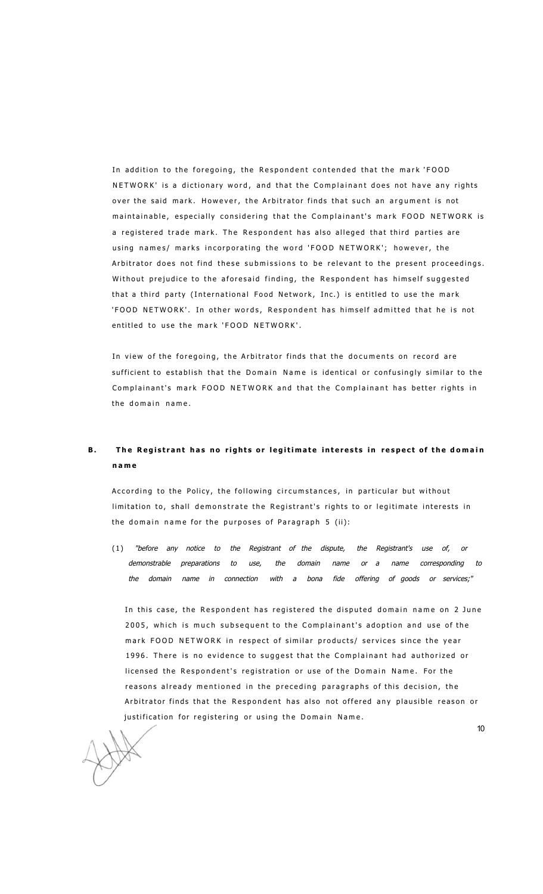In addition to the foregoing, the Respondent contended that the mark 'FOOD NETWORK' is a dictionary word, and that the Complainant does not have any rights over the said mark. However, the Arbitrator finds that such an argument is not maintainable, especially considering that the Complainant's mark FOOD NETWORK is a registered trade mark. The Respondent has also alleged that third parties are using names/ marks incorporating the word 'FOOD NETWORK'; however, the Arbitrator does not find these submissions to be relevant to the present proceedings. Without prejudice to the aforesaid finding, the Respondent has himself suggested that a third party (International Food Network, Inc.) is entitled to use the mark 'FOOD NETWORK'. In other words, Respondent has himself admitted that he is not entitled to use the mark 'FOOD NETWORK'.

In view of the foregoing, the Arbitrator finds that the documents on record are sufficient to establish that the Domain Name is identical or confusingly similar to the Complainant's mark FOOD NETWORK and that the Complainant has better rights in the domain name.

## **B.** The Registrant has no rights or legitimate interests in respect of the domain **nam e**

According to the Policy, the following circumstances, in particular but without limitation to, shall demonstrate the Registrant's rights to or legitimate interests in the domain name for the purposes of Paragraph 5 (ii):

(1 ) *"before any notice to the Registrant of the dispute, the Registrant's use of, or demonstrable preparations to use, the domain name or a name corresponding to the domain name in connection with a bona fide offering of goods or services;"* 

In this case, the Respondent has registered the disputed domain name on 2 June 2005, which is much subsequent to the Complainant's adoption and use of the mark FOOD NETWORK in respect of similar products/ services since the year 1996. There is no evidence to suggest that the Complainant had authorized or licensed the Respondent's registration or use of the Domain Name. For the reasons already mentioned in the preceding paragraphs of this decision, the Arbitrator finds that the Respondent has also not offered any plausible reason or justification for registering or using the Domain Name.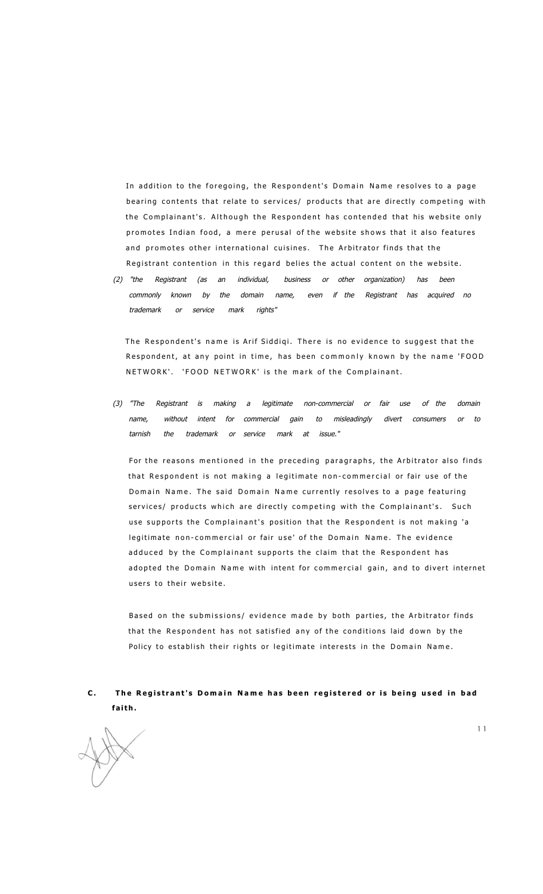In addition to the foregoing, the Respondent's Domain Name resolves to a page bearing contents that relate to services/ products that are directly competing with the Complainant's. Although the Respondent has contended that his website only promotes Indian food, a mere perusal of the website shows that it also features and promotes other international cuisines. The Arbitrator finds that the Registrant contention in this regard belies the actual content on the website.

*(2) "the Registrant (as an individual, business or other organization) has been commonly known by the domain name, even if the Registrant has acquired no trademark or service mark rights"* 

The Respondent's name is Arif Siddiqi. There is no evidence to suggest that the Respondent, at any point in time, has been commonly known by the name 'FOOD NETWORK'. 'FOOD NETWORK' is the mark of the Complainant.

*(3) "The Registrant is making a legitimate non-commercial or fair use of the domain name, without intent for commercial gain to misleadingly divert consumers or to tarnish the trademark or service mark at issue."* 

For the reasons mentioned in the preceding paragraphs, the Arbitrator also finds that Respondent is not making a legitimate non-commercial or fair use of the Domain Name. The said Domain Name currently resolves to a page featuring services/ products which are directly competing with the Complainant's. Such use supports the Complainant's position that the Respondent is not making 'a legitimate non-commercial or fair use' of the Domain Name. The evidence adduced by the Complainant supports the claim that the Respondent has adopted the Domain Name with intent for commercial gain, and to divert internet users to their website.

Based on the submissions/ evidence made by both parties, the Arbitrator finds that the Respondent has not satisfied any of the conditions laid down by the Policy to establish their rights or legitimate interests in the Domain Name.

### **C . Th e Registrant' s Domai n Nam e ha s bee n registere d o r i s bein g use d i n ba d faith.**